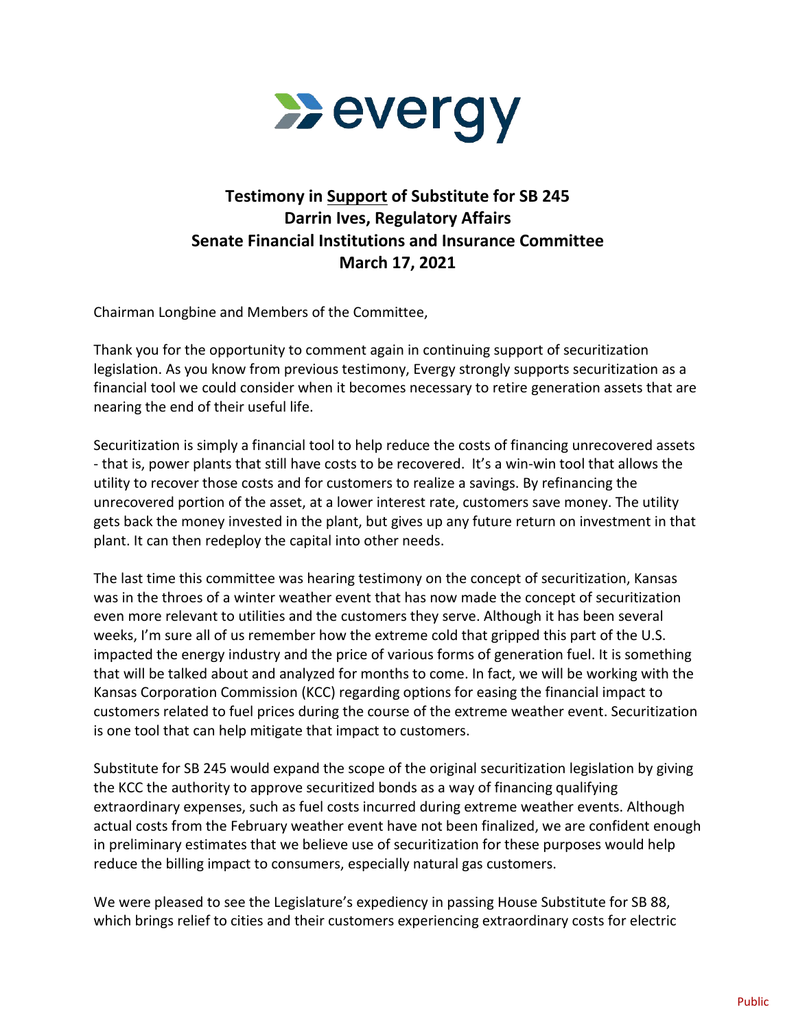

## **Testimony in Support of Substitute for SB 245 Darrin Ives, Regulatory Affairs Senate Financial Institutions and Insurance Committee March 17, 2021**

Chairman Longbine and Members of the Committee,

Thank you for the opportunity to comment again in continuing support of securitization legislation. As you know from previous testimony, Evergy strongly supports securitization as a financial tool we could consider when it becomes necessary to retire generation assets that are nearing the end of their useful life.

Securitization is simply a financial tool to help reduce the costs of financing unrecovered assets - that is, power plants that still have costs to be recovered. It's a win-win tool that allows the utility to recover those costs and for customers to realize a savings. By refinancing the unrecovered portion of the asset, at a lower interest rate, customers save money. The utility gets back the money invested in the plant, but gives up any future return on investment in that plant. It can then redeploy the capital into other needs.

The last time this committee was hearing testimony on the concept of securitization, Kansas was in the throes of a winter weather event that has now made the concept of securitization even more relevant to utilities and the customers they serve. Although it has been several weeks, I'm sure all of us remember how the extreme cold that gripped this part of the U.S. impacted the energy industry and the price of various forms of generation fuel. It is something that will be talked about and analyzed for months to come. In fact, we will be working with the Kansas Corporation Commission (KCC) regarding options for easing the financial impact to customers related to fuel prices during the course of the extreme weather event. Securitization is one tool that can help mitigate that impact to customers.

Substitute for SB 245 would expand the scope of the original securitization legislation by giving the KCC the authority to approve securitized bonds as a way of financing qualifying extraordinary expenses, such as fuel costs incurred during extreme weather events. Although actual costs from the February weather event have not been finalized, we are confident enough in preliminary estimates that we believe use of securitization for these purposes would help reduce the billing impact to consumers, especially natural gas customers.

We were pleased to see the Legislature's expediency in passing House Substitute for SB 88, which brings relief to cities and their customers experiencing extraordinary costs for electric